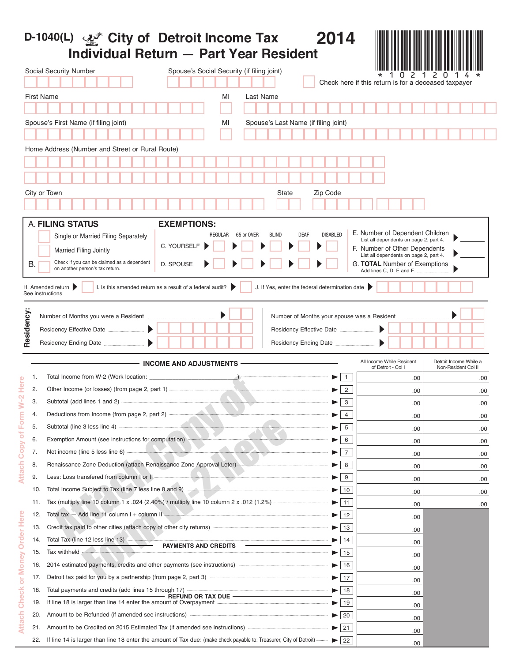|              |     | D-1040(L) $\mathcal{L}^*$ City of Detroit Income Tax<br>2014<br><b>Individual Return - Part Year Resident</b>                                                                          |                                                                         |                                               |
|--------------|-----|----------------------------------------------------------------------------------------------------------------------------------------------------------------------------------------|-------------------------------------------------------------------------|-----------------------------------------------|
|              |     | Social Security Number<br>Spouse's Social Security (if filing joint)<br>Check here if this return is for a deceased taxpayer                                                           | 2                                                                       | 2 O                                           |
|              |     | <b>First Name</b><br>MI<br>Last Name                                                                                                                                                   |                                                                         |                                               |
|              |     |                                                                                                                                                                                        |                                                                         |                                               |
|              |     | Spouse's First Name (if filing joint)<br>Spouse's Last Name (if filing joint)<br>MI                                                                                                    |                                                                         |                                               |
|              |     |                                                                                                                                                                                        |                                                                         |                                               |
|              |     |                                                                                                                                                                                        |                                                                         |                                               |
|              |     | Home Address (Number and Street or Rural Route)                                                                                                                                        |                                                                         |                                               |
|              |     |                                                                                                                                                                                        |                                                                         |                                               |
|              |     |                                                                                                                                                                                        |                                                                         |                                               |
|              |     | City or Town<br>Zip Code<br>State                                                                                                                                                      |                                                                         |                                               |
|              |     |                                                                                                                                                                                        |                                                                         |                                               |
|              |     | <b>A. FILING STATUS</b>                                                                                                                                                                |                                                                         |                                               |
|              |     | <b>EXEMPTIONS:</b><br><b>DISABLED</b><br>65 or OVER<br><b>BLIND</b><br><b>DEAF</b><br>REGULAR<br>Single or Married Filing Separately                                                   | E. Number of Dependent Children                                         |                                               |
|              |     | C. YOURSELF                                                                                                                                                                            | List all dependents on page 2, part 4.                                  |                                               |
|              |     | <b>Married Filing Jointly</b>                                                                                                                                                          | F. Number of Other Dependents<br>List all dependents on page 2, part 4. |                                               |
|              | В.  | Check if you can be claimed as a dependent<br>D. SPOUSE<br>on another person's tax return.                                                                                             | G. <b>TOTAL</b> Number of Exemptions<br>Add lines C, D, E and F.        |                                               |
|              |     |                                                                                                                                                                                        |                                                                         |                                               |
|              |     | H. Amended return<br>I. Is this amended return as a result of a federal audit? $\blacktriangleright$<br>J. If Yes, enter the federal determination date<br>See instructions            |                                                                         |                                               |
|              |     |                                                                                                                                                                                        |                                                                         |                                               |
| Residency    |     | Number of Months your spouse was a Resident                                                                                                                                            |                                                                         |                                               |
|              |     |                                                                                                                                                                                        |                                                                         |                                               |
|              |     |                                                                                                                                                                                        |                                                                         |                                               |
|              |     |                                                                                                                                                                                        |                                                                         |                                               |
|              |     | - INCOME AND ADJUSTMENTS –                                                                                                                                                             | All Income While Resident<br>of Detroit - Col I                         | Detroit Income While a<br>Non-Resident Col II |
| Ф            | 1.  | Total Income from W-2 (Work location: _<br>$\mathbf{1}$                                                                                                                                | .00                                                                     | .00                                           |
|              | 2.  | $\overline{2}$                                                                                                                                                                         | .00                                                                     | .00                                           |
|              | 3.  | Subtotal (add lines 1 and 2) <b>Manual</b> Subtotal (and lines 1 and 2)<br>3                                                                                                           | .00                                                                     | .00                                           |
| Ē            | 4.  | Deductions from Income (from page 2, part 2) manuscriptions<br>$\overline{4}$                                                                                                          | .00                                                                     | .00                                           |
|              | 5.  | 5 <sup>5</sup>                                                                                                                                                                         | .00.                                                                    | .00.                                          |
| ō            | 6.  | Exemption Amount (see instructions for computation)<br>6                                                                                                                               | .00                                                                     | .00                                           |
| Copy         | 7.  | Net income (line 5 less line 6)<br>$\overline{7}$                                                                                                                                      | .00                                                                     | .00                                           |
| 등            | 8.  | Renaissance Zone Deduction (attach Renaissance Zone Approval Leter)<br>8                                                                                                               | .00                                                                     | .00                                           |
|              | 9.  | 9                                                                                                                                                                                      | .00                                                                     | .00                                           |
|              | 10. | $\blacktriangleright$<br>10                                                                                                                                                            | .00                                                                     | .00                                           |
|              | 11. | $\blacktriangleright$   11                                                                                                                                                             | .00                                                                     | .00                                           |
| ere          | 12. | Total tax - Add line 11 column I + column II<br>12<br>▶                                                                                                                                | .00                                                                     |                                               |
| I,           | 13. | ▶│<br>13                                                                                                                                                                               | .00                                                                     |                                               |
| ò<br>Ŏ       | 14. | Total Tax (line 12 less line 13)<br>$\blacktriangleright$<br>14                                                                                                                        | .00                                                                     |                                               |
|              | 15. | PAYMENTS AND CREDITS -<br>Tax withheld<br>15<br>$\blacktriangleright$ 1                                                                                                                | .00                                                                     |                                               |
| <b>Noney</b> | 16. | 2014 estimated payments, credits and other payments (see instructions) manufactured and other payments (see instructions)<br>16<br>$\blacktriangleright$                               | .00                                                                     |                                               |
|              | 17. | $\blacktriangleright$ 17                                                                                                                                                               |                                                                         |                                               |
| ŏ<br>៵       | 18. | 18                                                                                                                                                                                     | .00                                                                     |                                               |
|              | 19. | If line 18 is larger than line 14 enter the amount of Overpayment<br>$\blacktriangleright$ 19                                                                                          | .00                                                                     |                                               |
| έ            | 20. | Amount to be Refunded (if amended see instructions) <b>Example 20</b> 20                                                                                                               | .00                                                                     |                                               |
|              | 21. | Amount to be Credited on 2015 Estimated Tax (if amended see instructions) <b>Amount</b> to be Credited on 2015 Estimated Tax (if amended see instructions)<br>$\blacktriangleright$ 21 | .00                                                                     |                                               |
|              | 22. |                                                                                                                                                                                        | .00                                                                     |                                               |
|              |     |                                                                                                                                                                                        | .00                                                                     |                                               |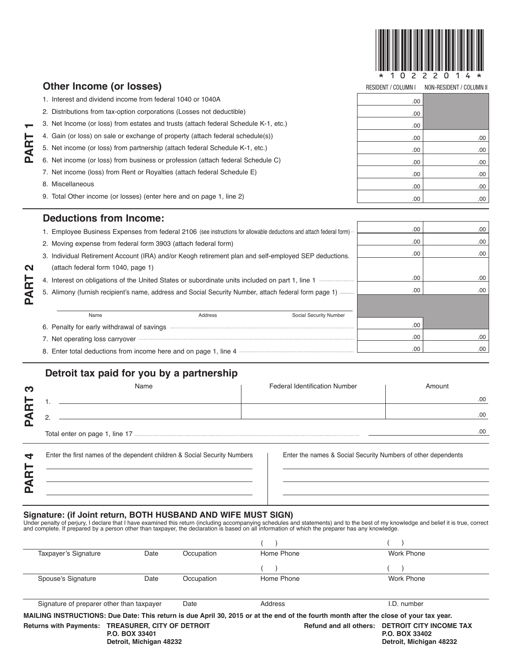

|                  | Other Income (or losses)                                                            | <b>RESIDENT / COLUMN I</b> | NON-RESIDENT / COLUMN II |  |
|------------------|-------------------------------------------------------------------------------------|----------------------------|--------------------------|--|
|                  | 1. Interest and dividend income from federal 1040 or 1040A                          | .00                        |                          |  |
|                  | 2. Distributions from tax-option corporations (Losses not deductible)               | .00                        |                          |  |
|                  | 3. Net Income (or loss) from estates and trusts (attach federal Schedule K-1, etc.) | .00                        |                          |  |
| ⊢                | 4. Gain (or loss) on sale or exchange of property (attach federal schedule(s))      | .00                        | .00.                     |  |
| PAR <sup>-</sup> | 5. Net income (or loss) from partnership (attach federal Schedule K-1, etc.)        | .00                        | .00                      |  |
|                  | 6. Net income (or loss) from business or profession (attach federal Schedule C)     | .00                        | .00                      |  |
|                  | 7. Net income (loss) from Rent or Royalties (attach federal Schedule E)             | .00                        | .00.                     |  |
|                  | Miscellaneous<br>8                                                                  | .00                        | .00                      |  |
|                  | 9. Total Other income (or losses) (enter here and on page 1, line 2)                | .00                        | .00.                     |  |
|                  | <b>Deductions from Income:</b>                                                      |                            |                          |  |
|                  |                                                                                     |                            |                          |  |

| 1. Employee Business Expenses from federal 2106 (see instructions for allowable deductions and attach federal form) | .00 | .00 |
|---------------------------------------------------------------------------------------------------------------------|-----|-----|
| 2. Moving expense from federal form 3903 (attach federal form)                                                      | .00 | .00 |
| 3. Individual Retirement Account (IRA) and/or Keogh retirement plan and self-employed SEP deductions.               | .00 | .00 |
| (attach federal form 1040, page 1)                                                                                  |     |     |
| 4. Interest on obligations of the United States or subordinate units included on part 1, line 1                     | .00 | .00 |
| 5. Alimony (furnish recipient's name, address and Social Security Number, attach federal form page 1)               | .00 | .00 |
|                                                                                                                     |     |     |
| Social Security Number<br>Address<br>Name                                                                           |     |     |
| 6. Penalty for early withdrawal of savings                                                                          | .00 |     |
| 7. Net operating loss carryover                                                                                     | .00 | .00 |
| 8. Enter total deductions from income here and on page 1, line 4                                                    | .00 | .00 |
|                                                                                                                     |     |     |

## **Detroit tax paid for you by a partnership**

**PART**

 $\mathbf{\Omega}$ 

| ო  | Name                           | <b>Federal Identification Number</b> | Amount |
|----|--------------------------------|--------------------------------------|--------|
| ┕  |                                |                                      | .00.   |
| کة |                                |                                      | .00.   |
|    | Total enter on page 1, line 17 |                                      | .00    |

| Enter the first names of the dependent children & Social Security Numbers |  |  |  |
|---------------------------------------------------------------------------|--|--|--|
|                                                                           |  |  |  |
|                                                                           |  |  |  |
|                                                                           |  |  |  |

Enter the names & Social Security Numbers of other dependents

Signature: (if Joint return, BOTH HUSBAND AND WIFE MUST SIGN)<br>Under penalty of perjury, I declare that I have examined this return (including accompanying schedules and statements) and to the best of my knowledge and belie

| Taxpayer's Signature                                                                                                                  | Date | Occupation | Home Phone | Work Phone                                                                                  |  |
|---------------------------------------------------------------------------------------------------------------------------------------|------|------------|------------|---------------------------------------------------------------------------------------------|--|
|                                                                                                                                       |      |            |            |                                                                                             |  |
| Spouse's Signature                                                                                                                    | Date | Occupation | Home Phone | Work Phone                                                                                  |  |
|                                                                                                                                       |      |            |            |                                                                                             |  |
| Signature of preparer other than taxpayer                                                                                             |      | Date       | Address    | I.D. number                                                                                 |  |
| MAILING INSTRUCTIONS: Due Date: This return is due April 30, 2015 or at the end of the fourth month after the close of your tax year. |      |            |            |                                                                                             |  |
| <b>TREASURER, CITY OF DETROIT</b><br><b>Returns with Payments:</b><br>P.O. BOX 33401<br>Detroit, Michigan 48232                       |      |            |            | Refund and all others: DETROIT CITY INCOME TAX<br>P.O. BOX 33402<br>Detroit, Michigan 48232 |  |